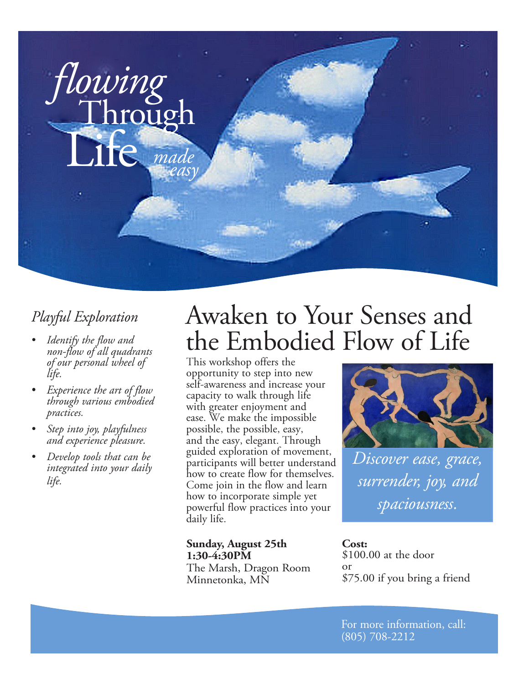

- *• Identify the flow and non-flow of all quadrants of our personal wheel of life.*
- *• Experience the art of flow through various embodied practices.*
- *• Step into joy, playfulness and experience pleasure.*
- *• Develop tools that can be integrated into your daily life.*

# *Playful Exploration* Awaken to Your Senses and the Embodied Flow of Life

This workshop offers the opportunity to step into new self-awareness and increase your capacity to walk through life with greater enjoyment and ease. We make the impossible possible, the possible, easy, and the easy, elegant. Through guided exploration of movement, participants will better understand how to create flow for themselves. Come join in the flow and learn how to incorporate simple yet powerful flow practices into your daily life.

## **Sunday, August 25th 1:30-4:30PM**

The Marsh, Dragon Room Minnetonka, MN



*Discover ease, grace, surrender, joy, and spaciousness.*

**Cost:**  \$100.00 at the door or \$75.00 if you bring a friend

For more information, call: (805) 708-2212